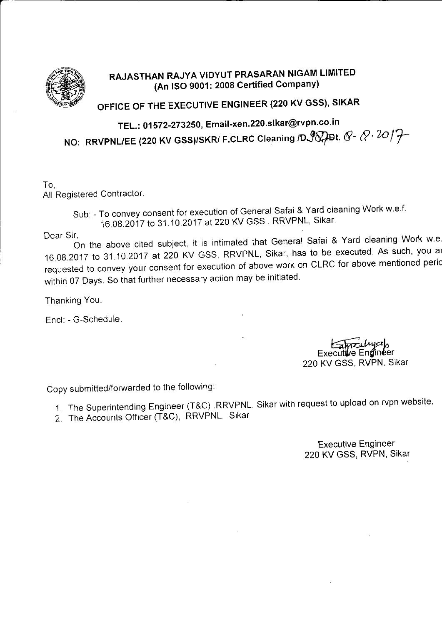

## RAJASTHAN RAJYA VIDYUT PRASARAN NIGAM LIMITED (An ISO 9001: 2008 Certified Company)

## OFFICE OF THE EXECUTIVE ENGINEER (220 KV GSS), SIKAR

NO: RRVPNL/EE (220 KV GSS)/SKR/ F.CLRC Cleaning /D $\mathscr{G}$ Dt.  $\mathscr{G}$ -  $\mathscr{Q} \cdot \mathscr{U}/\mathscr{T}$ TEL.: 01572-273250, Email-xen.220.sikar@rvpn.co.in

To, All Registered Contractor.

> Sub: - To convey consent for execution of General Safai & Yard cleaning Work w.e.f. 16.08.2017 to 31.10.2017 at 220 KV GSS, RRVPNL, Sikar.

Dear Sir,

I,<br>On the above cited subject, it is intimated that General Safai & Yard cleaning Work w.e. 16.08.2017 to 31.10.2017 at 220 KV GSS, RRVPNL, Sikar, has to be executed. As such, you at requested to convey your consent for execution of above work on CLRC for above mentioned Peric within 07 Days. So that further necessary action may be initiated.

Thanking You.

Encl: - G-Schedule.

Executive Engineer 220 KV GSS, RVPN, SIKAT

Copy submitted/fonvarded to the following:

- 1. The Superintending Engineer (T&C) RRVPNL Sikar with request to upload on rvpn website'
- 2. The Accounts Officer (T&C), RRVPNL, Sikar

Executive Engineer 220 KV GSS, RVPN, Sikar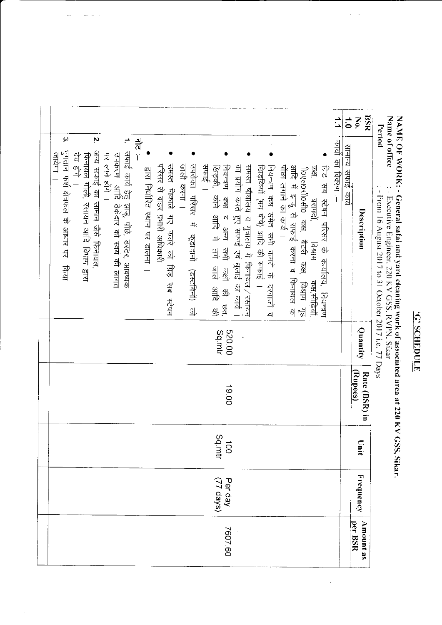## TINGHIOS .5.

## NAME OF WORK: - General safai and yard cleaning work of associated area at 220 KV GSS, Sikar.<br>Name of office  $\cdot$  : - Executive Engineer, 220 KV GSS, RVPN, Sikar<br>Period  $\cdot$  : - From 16 August 2017 to 31 October 2017 i.e.

l,

|  | $\vec{=}$<br>$\ddot{\bullet}$                                                                                                                                                                                                                                                                                                                                                                                                                                                                                                                                                                                                                                                                                                                                                                                                                                                                                                                                                                                             | No.         | BSR<br>DOM IN T                                                                                                                                   |  |  |  |  |  |  |
|--|---------------------------------------------------------------------------------------------------------------------------------------------------------------------------------------------------------------------------------------------------------------------------------------------------------------------------------------------------------------------------------------------------------------------------------------------------------------------------------------------------------------------------------------------------------------------------------------------------------------------------------------------------------------------------------------------------------------------------------------------------------------------------------------------------------------------------------------------------------------------------------------------------------------------------------------------------------------------------------------------------------------------------|-------------|---------------------------------------------------------------------------------------------------------------------------------------------------|--|--|--|--|--|--|
|  | $\omega$<br>Ņ<br>참<br>-<br>- एक्ट्री का स्थित<br><u>सामान्य सफाई कार्य</u><br>सफाई कार्य हेतु झाडू, पोंछे, डस्टर, आवष्यक<br>उपकरण  आदि ठेकेदार को स्वयं की लागत<br>भुगतान फर्श क्षेत्रफल के आधार पर किया<br>अन्य सफाई का सामान जैसे फिनायल,<br>जयेगा<br>रेय होंगे ।<br>पर लाने होंगे ।<br>फिनायल गोली, रसायन आदि विभाग द्वारा<br>समस्त निकाले गए कचरे को ग्रिड सब स्टेषन<br>परिसर से बाहर प्रभारी अधिकारी<br>खाली करना ।<br>उपरोक्त परिसर में कूड़ादानों (डस्टबिनों) को<br>नियन्त्रण कक्ष व अन्य सभी कक्षों की छत,<br>का प्रयोग करते हुए सफाई एवं धुलाई का कार्य<br>सफाइं ।<br>समस्त षोचालय व मुत्रालय में फिनायल ⁄ रसायन<br>आदि में झाडू से सफाई करना व फिनायल का<br>खिड़की,<br>पौंछा लगाने का काये ।<br>पी0एल0सी0सी0 कक्ष, बैटरी कक्ष, विश्राम गृह<br>ग्रिड सब स्टेषन परिसर के कार्यालय, नियन्त्रण<br>नियन्त्रण कक्ष समेत सभी कमरों के दरवाजों व<br>$\frac{1}{2}$<br>खिड़कियाँ (मय पीषे) आदि की सफाई<br>द्वारा निर्धारित स्थान पर डालना ।<br>कोने आदि में लगे जाले आदि की<br>बरामदों,<br><b>HIR4H</b><br>कक्ष,सोढ़ियाँ, | Description | $-100110$ to $\frac{1}{2}$ to $\frac{1}{2}$ to $\frac{1}{2}$ to $\frac{1}{2}$ to $\frac{1}{2}$ to $\frac{1}{2}$ to $\frac{1}{2}$ to $\frac{1}{2}$ |  |  |  |  |  |  |
|  | 00.025<br>Sq.mtr                                                                                                                                                                                                                                                                                                                                                                                                                                                                                                                                                                                                                                                                                                                                                                                                                                                                                                                                                                                                          |             |                                                                                                                                                   |  |  |  |  |  |  |
|  | 19.00                                                                                                                                                                                                                                                                                                                                                                                                                                                                                                                                                                                                                                                                                                                                                                                                                                                                                                                                                                                                                     |             |                                                                                                                                                   |  |  |  |  |  |  |
|  | Sq.mtr                                                                                                                                                                                                                                                                                                                                                                                                                                                                                                                                                                                                                                                                                                                                                                                                                                                                                                                                                                                                                    |             |                                                                                                                                                   |  |  |  |  |  |  |
|  | Per day<br>(77 days)                                                                                                                                                                                                                                                                                                                                                                                                                                                                                                                                                                                                                                                                                                                                                                                                                                                                                                                                                                                                      |             |                                                                                                                                                   |  |  |  |  |  |  |
|  | 7607.60                                                                                                                                                                                                                                                                                                                                                                                                                                                                                                                                                                                                                                                                                                                                                                                                                                                                                                                                                                                                                   |             |                                                                                                                                                   |  |  |  |  |  |  |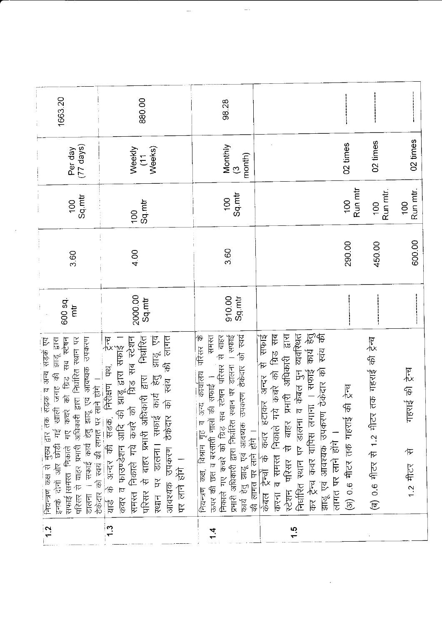| 1663.20                                                                                                                                                                                                                                                                                                                 | 880.00                                                                                                                                                                                                                                                                                                                                                                           | 98.28                                                                                                                                                                                                                                                                                                                              |                                                                                                                                                                                                                                                                                                                                        |                                        |                                              |                                     |
|-------------------------------------------------------------------------------------------------------------------------------------------------------------------------------------------------------------------------------------------------------------------------------------------------------------------------|----------------------------------------------------------------------------------------------------------------------------------------------------------------------------------------------------------------------------------------------------------------------------------------------------------------------------------------------------------------------------------|------------------------------------------------------------------------------------------------------------------------------------------------------------------------------------------------------------------------------------------------------------------------------------------------------------------------------------|----------------------------------------------------------------------------------------------------------------------------------------------------------------------------------------------------------------------------------------------------------------------------------------------------------------------------------------|----------------------------------------|----------------------------------------------|-------------------------------------|
| $(77 \text{ days})$<br>Per day                                                                                                                                                                                                                                                                                          | Weeks)<br>Weekly<br>$\tilde{E}$                                                                                                                                                                                                                                                                                                                                                  | Monthly<br>month)<br>$\tilde{\mathcal{C}}$                                                                                                                                                                                                                                                                                         |                                                                                                                                                                                                                                                                                                                                        | 02 times                               | 02 times                                     | 02 times                            |
| Sq.mtr<br>$\overline{5}$                                                                                                                                                                                                                                                                                                | Sq.mtr<br>$\overline{00}$                                                                                                                                                                                                                                                                                                                                                        | Sq.mtr<br>$\overline{100}$                                                                                                                                                                                                                                                                                                         |                                                                                                                                                                                                                                                                                                                                        | Run mtr<br>$\overline{001}$            | Run mtr.<br>100                              | Run mtr.<br>100                     |
| 3.60                                                                                                                                                                                                                                                                                                                    | 4.00                                                                                                                                                                                                                                                                                                                                                                             |                                                                                                                                                                                                                                                                                                                                    |                                                                                                                                                                                                                                                                                                                                        | 290.00                                 | 450.00                                       | 600.00                              |
| 600 sq.<br>$\overline{\mathrm{m}}$                                                                                                                                                                                                                                                                                      | 2000.00<br>Sq mtr                                                                                                                                                                                                                                                                                                                                                                | 910.00<br>Sq mtr                                                                                                                                                                                                                                                                                                                   |                                                                                                                                                                                                                                                                                                                                        |                                        |                                              |                                     |
| डालना । सफाई कार्य हेतु झाडू एवं आवष्यक उपकरण<br>सड़क व अन्य सड़कें एवं<br>परिसर से वाहर प्रभारी अधिकारी द्वारा निर्धारित स्थान पर<br>सफाई।समस्त निकाले गए कचरे को ग्रिड सब स्टेषन<br>झाडू हारा<br>इनके दोनों और छोड़ी गई खाली जगह की<br>ठेकेदार को स्वयं की लागत पर लाने होंगे ।<br>क्रियन्त्रण कक्ष से मुख्य द्वार तक | झाडू एव<br>की लागत<br>निर्धारित<br>याञ्च का अन्दर का सडक, निरीक्षण पथ, न्द्रेन्च<br>कवर व फाउण्डेशन आदि की झाडू द्वारा सफ़ाई ।<br>समस्त निकाले गये कचरे को - ग्रिड सब स्टेशन<br>प्रक्रिया ने नामा – – ९<br>ं अधिकारी द्वारा<br>ग्फाई कार्य हेतु<br>को स्वंय<br>कार्य<br>डालना। सफाई<br>उपकरण ठेकेदार<br>परिसर से बाहर प्रभारी<br>यार्ड के अन्दर की<br>一点下的<br>स्थान पर<br>आवश्यक | परिसर के<br>कार्य हेतु झाडू एवं आवष्यक उपकरण ठेकेदार को स्वयं<br>रामस्त<br>से बाहर<br>स्थान पर डालना । सफाई<br>निकाले गए कचरे को ग्रिड सब स्टेषन परिसर<br>अन्य कार्यालय<br>की सफाई<br>नालो<br>प्रभारी अधिकारी द्वारा निर्धारित<br>$\overline{p}$<br>की लागत पर लाने होंगे ।<br>विश्रम गृह<br>ऊपर की छत व बरसाती<br>नियन्त्रण कक्ष, | प्रभारी अधिकारी द्वारा<br>व केबल पुन व्यवस्थित<br>कार्य हेतु<br>केबल ट्रेन्चों के कवर हटाकर अन्दर से सफाई<br>करना व समस्त निकाले गये कचरे को ग्रिड सब<br>झाडू एवं आवश्यक उपकरण ठेकेदार को स्वंय की<br>कवर वापिस लगाना । सफाई<br>निर्धारित स्थान पर डालना<br>बाहर<br>लागत पर लाने होंगे ।<br>$\hat{\tau}$<br>स्टेशन परिसर<br>कर ट्रॅन्च | की ट्रेंस्ट्र<br>(अ) 0.6 मीटर तक गहराई | (ब) 0.6 मीटर से 1.2 मीटर तक गहराई की ट्रेन्च | गहराई की ट्रेन्च<br>乍<br>$1.2$ मीटर |
| $\frac{1}{2}$                                                                                                                                                                                                                                                                                                           | 1 <sup>3</sup>                                                                                                                                                                                                                                                                                                                                                                   | 1.4                                                                                                                                                                                                                                                                                                                                | $\frac{5}{1}$                                                                                                                                                                                                                                                                                                                          |                                        |                                              |                                     |

 $\epsilon$ 

 $\hat{\boldsymbol{\cdot}$